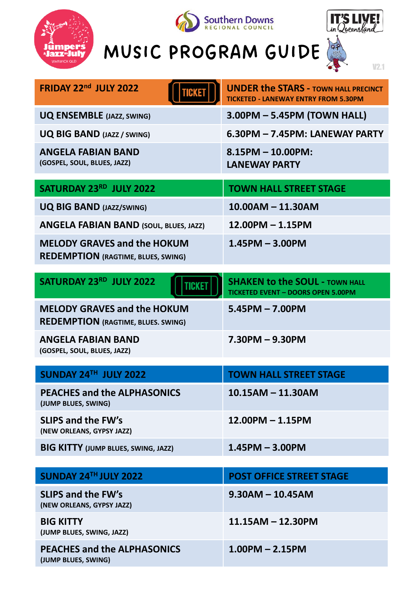







V2.1

| FRIDAY 22nd JULY 2022                                                           | <b>UNDER the STARS - TOWN HALL PRECINCT</b><br><b>TICKETED - LANEWAY ENTRY FROM 5.30PM</b> |
|---------------------------------------------------------------------------------|--------------------------------------------------------------------------------------------|
| <b>UQ ENSEMBLE (JAZZ, SWING)</b>                                                | 3.00PM - 5.45PM (TOWN HALL)                                                                |
| <b>UQ BIG BAND (JAZZ / SWING)</b>                                               | 6.30PM - 7.45PM: LANEWAY PARTY                                                             |
| <b>ANGELA FABIAN BAND</b><br>(GOSPEL, SOUL, BLUES, JAZZ)                        | $8.15$ PM $- 10.00$ PM:<br><b>LANEWAY PARTY</b>                                            |
| SATURDAY 23RD JULY 2022                                                         | <b>TOWN HALL STREET STAGE</b>                                                              |
| <b>UQ BIG BAND (JAZZ/SWING)</b>                                                 | $10.00AM - 11.30AM$                                                                        |
| <b>ANGELA FABIAN BAND (SOUL, BLUES, JAZZ)</b>                                   | $12.00$ PM $- 1.15$ PM                                                                     |
| <b>MELODY GRAVES and the HOKUM</b><br><b>REDEMPTION (RAGTIME, BLUES, SWING)</b> | $1.45$ PM - 3.00PM                                                                         |
| SATURDAY 23RD JULY 2022<br>TICKET                                               | <b>SHAKEN to the SOUL - TOWN HALL</b><br><b>TICKETED EVENT - DOORS OPEN 5.00PM</b>         |
| <b>MELODY GRAVES and the HOKUM</b><br><b>REDEMPTION (RAGTIME, BLUES. SWING)</b> | $5.45$ PM $- 7.00$ PM                                                                      |
| <b>ANGELA FABIAN BAND</b><br>(GOSPEL, SOUL, BLUES, JAZZ)                        | $7.30$ PM $- 9.30$ PM                                                                      |
| SUNDAY 24TH JULY 2022                                                           | <b>TOWN HALL STREET STAGE</b>                                                              |
| <b>PEACHES and the ALPHASONICS</b><br>(JUMP BLUES, SWING)                       | $10.15AM - 11.30AM$                                                                        |
| <b>SLIPS and the FW's</b><br>(NEW ORLEANS, GYPSY JAZZ)                          | $12.00$ PM $- 1.15$ PM                                                                     |
| <b>BIG KITTY (JUMP BLUES, SWING, JAZZ)</b>                                      | $1.45$ PM $- 3.00$ PM                                                                      |
|                                                                                 |                                                                                            |

| SUNDAY 24TH JULY 2022                                     | <b>POST OFFICE STREET STAGE</b> |
|-----------------------------------------------------------|---------------------------------|
| <b>SLIPS and the FW's</b><br>(NEW ORLEANS, GYPSY JAZZ)    | $9.30$ AM $- 10.45$ AM          |
| <b>BIG KITTY</b><br>(JUMP BLUES, SWING, JAZZ)             | $11.15AM - 12.30PM$             |
| <b>PEACHES and the ALPHASONICS</b><br>(JUMP BLUES, SWING) | $1.00$ PM $- 2.15$ PM           |